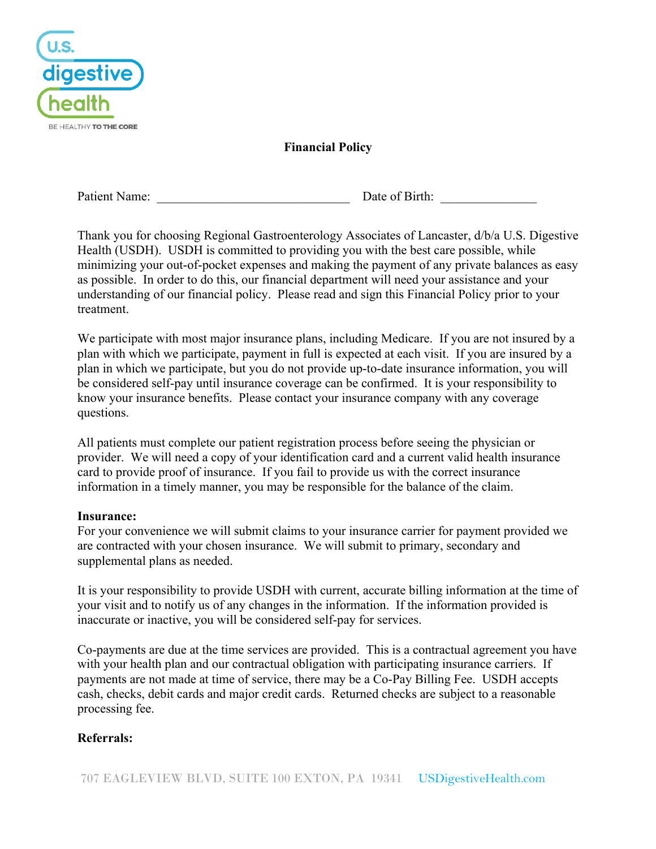

**Financial Policy**

Patient Name: <br>
Date of Birth:

Thank you for choosing Regional Gastroenterology Associates of Lancaster, d/b/a U.S. Digestive Health (USDH). USDH is committed to providing you with the best care possible, while minimizing your out-of-pocket expenses and making the payment of any private balances as easy as possible. In order to do this, our financial department will need your assistance and your understanding of our financial policy. Please read and sign this Financial Policy prior to your treatment.

We participate with most major insurance plans, including Medicare. If you are not insured by a plan with which we participate, payment in full is expected at each visit. If you are insured by a plan in which we participate, but you do not provide up-to-date insurance information, you will be considered self-pay until insurance coverage can be confirmed. It is your responsibility to know your insurance benefits. Please contact your insurance company with any coverage questions.

All patients must complete our patient registration process before seeing the physician or provider. We will need a copy of your identification card and a current valid health insurance card to provide proof of insurance. If you fail to provide us with the correct insurance information in a timely manner, you may be responsible for the balance of the claim.

## **Insurance:**

For your convenience we will submit claims to your insurance carrier for payment provided we are contracted with your chosen insurance. We will submit to primary, secondary and supplemental plans as needed.

It is your responsibility to provide USDH with current, accurate billing information at the time of your visit and to notify us of any changes in the information. If the information provided is inaccurate or inactive, you will be considered self-pay for services.

Co-payments are due at the time services are provided. This is a contractual agreement you have with your health plan and our contractual obligation with participating insurance carriers. If payments are not made at time of service, there may be a Co-Pay Billing Fee. USDH accepts cash, checks, debit cards and major credit cards. Returned checks are subject to a reasonable processing fee.

# **Referrals:**